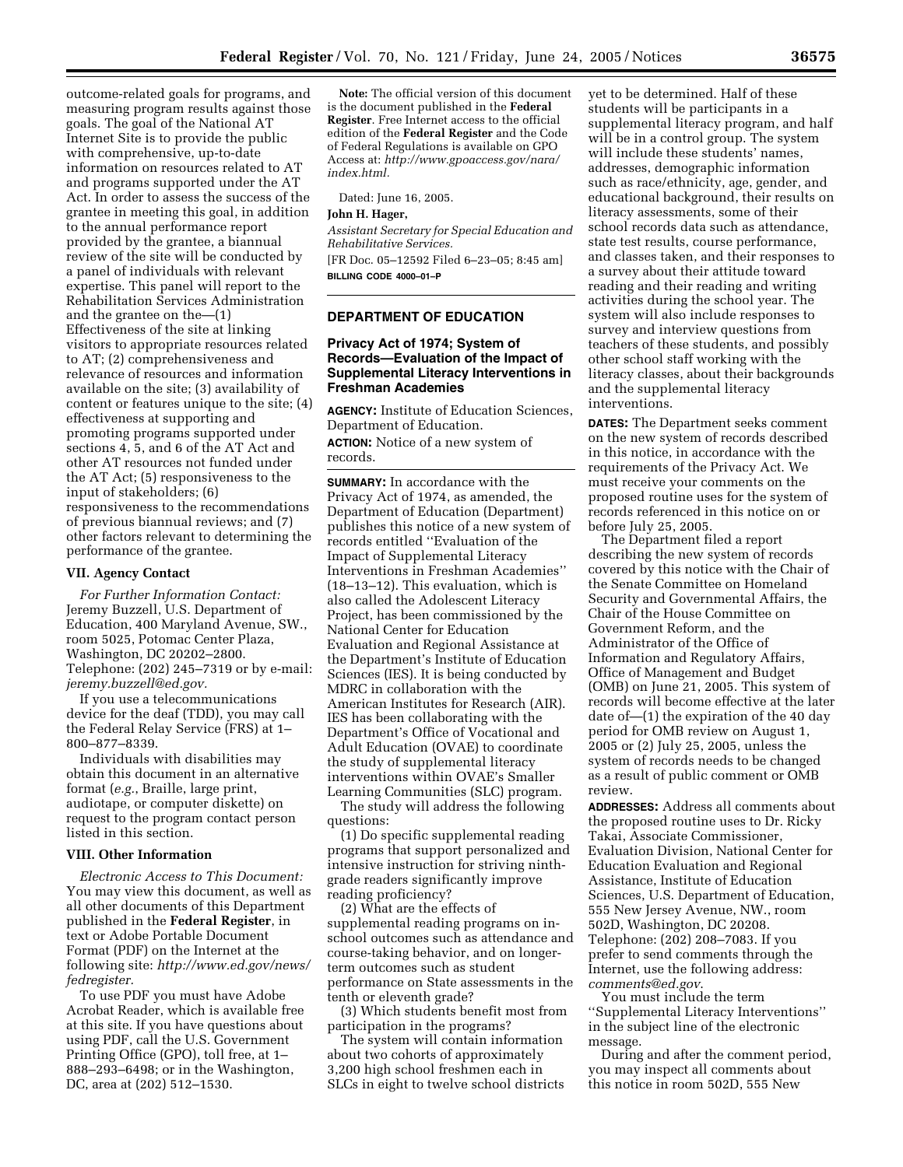outcome-related goals for programs, and measuring program results against those goals. The goal of the National AT Internet Site is to provide the public with comprehensive, up-to-date information on resources related to AT and programs supported under the AT Act. In order to assess the success of the grantee in meeting this goal, in addition to the annual performance report provided by the grantee, a biannual review of the site will be conducted by a panel of individuals with relevant expertise. This panel will report to the Rehabilitation Services Administration and the grantee on the—(1) Effectiveness of the site at linking visitors to appropriate resources related to AT; (2) comprehensiveness and relevance of resources and information available on the site; (3) availability of content or features unique to the site; (4) effectiveness at supporting and promoting programs supported under sections 4, 5, and 6 of the AT Act and other AT resources not funded under the AT Act; (5) responsiveness to the input of stakeholders; (6) responsiveness to the recommendations of previous biannual reviews; and (7) other factors relevant to determining the performance of the grantee.

## **VII. Agency Contact**

*For Further Information Contact:*  Jeremy Buzzell, U.S. Department of Education, 400 Maryland Avenue, SW., room 5025, Potomac Center Plaza, Washington, DC 20202–2800. Telephone: (202) 245–7319 or by e-mail: *jeremy.buzzell@ed.gov.* 

If you use a telecommunications device for the deaf (TDD), you may call the Federal Relay Service (FRS) at 1– 800–877–8339.

Individuals with disabilities may obtain this document in an alternative format (*e.g.*, Braille, large print, audiotape, or computer diskette) on request to the program contact person listed in this section.

### **VIII. Other Information**

*Electronic Access to This Document:*  You may view this document, as well as all other documents of this Department published in the **Federal Register**, in text or Adobe Portable Document Format (PDF) on the Internet at the following site: *http://www.ed.gov/news/ fedregister.* 

To use PDF you must have Adobe Acrobat Reader, which is available free at this site. If you have questions about using PDF, call the U.S. Government Printing Office (GPO), toll free, at 1– 888–293–6498; or in the Washington, DC, area at (202) 512–1530.

**Note:** The official version of this document is the document published in the **Federal Register**. Free Internet access to the official edition of the **Federal Register** and the Code of Federal Regulations is available on GPO Access at: *http://www.gpoaccess.gov/nara/ index.html.* 

Dated: June 16, 2005.

## **John H. Hager,**

*Assistant Secretary for Special Education and Rehabilitative Services.*  [FR Doc. 05–12592 Filed 6–23–05; 8:45 am]

**BILLING CODE 4000–01–P** 

## **DEPARTMENT OF EDUCATION**

## **Privacy Act of 1974; System of Records—Evaluation of the Impact of Supplemental Literacy Interventions in Freshman Academies**

**AGENCY:** Institute of Education Sciences, Department of Education. **ACTION:** Notice of a new system of records.

**SUMMARY:** In accordance with the Privacy Act of 1974, as amended, the Department of Education (Department) publishes this notice of a new system of records entitled ''Evaluation of the Impact of Supplemental Literacy Interventions in Freshman Academies'' (18–13–12). This evaluation, which is also called the Adolescent Literacy Project, has been commissioned by the National Center for Education Evaluation and Regional Assistance at the Department's Institute of Education Sciences (IES). It is being conducted by MDRC in collaboration with the American Institutes for Research (AIR). IES has been collaborating with the Department's Office of Vocational and Adult Education (OVAE) to coordinate the study of supplemental literacy interventions within OVAE's Smaller Learning Communities (SLC) program.

The study will address the following questions:

(1) Do specific supplemental reading programs that support personalized and intensive instruction for striving ninthgrade readers significantly improve reading proficiency?

(2) What are the effects of supplemental reading programs on inschool outcomes such as attendance and course-taking behavior, and on longerterm outcomes such as student performance on State assessments in the tenth or eleventh grade?

(3) Which students benefit most from participation in the programs?

The system will contain information about two cohorts of approximately 3,200 high school freshmen each in SLCs in eight to twelve school districts yet to be determined. Half of these students will be participants in a supplemental literacy program, and half will be in a control group. The system will include these students' names, addresses, demographic information such as race/ethnicity, age, gender, and educational background, their results on literacy assessments, some of their school records data such as attendance, state test results, course performance, and classes taken, and their responses to a survey about their attitude toward reading and their reading and writing activities during the school year. The system will also include responses to survey and interview questions from teachers of these students, and possibly other school staff working with the literacy classes, about their backgrounds and the supplemental literacy interventions.

**DATES:** The Department seeks comment on the new system of records described in this notice, in accordance with the requirements of the Privacy Act. We must receive your comments on the proposed routine uses for the system of records referenced in this notice on or before July 25, 2005.

The Department filed a report describing the new system of records covered by this notice with the Chair of the Senate Committee on Homeland Security and Governmental Affairs, the Chair of the House Committee on Government Reform, and the Administrator of the Office of Information and Regulatory Affairs, Office of Management and Budget (OMB) on June 21, 2005. This system of records will become effective at the later date of—(1) the expiration of the 40 day period for OMB review on August 1, 2005 or (2) July 25, 2005, unless the system of records needs to be changed as a result of public comment or OMB review.

**ADDRESSES:** Address all comments about the proposed routine uses to Dr. Ricky Takai, Associate Commissioner, Evaluation Division, National Center for Education Evaluation and Regional Assistance, Institute of Education Sciences, U.S. Department of Education, 555 New Jersey Avenue, NW., room 502D, Washington, DC 20208. Telephone: (202) 208–7083. If you prefer to send comments through the Internet, use the following address: *comments@ed.gov*.

You must include the term ''Supplemental Literacy Interventions'' in the subject line of the electronic message.

During and after the comment period, you may inspect all comments about this notice in room 502D, 555 New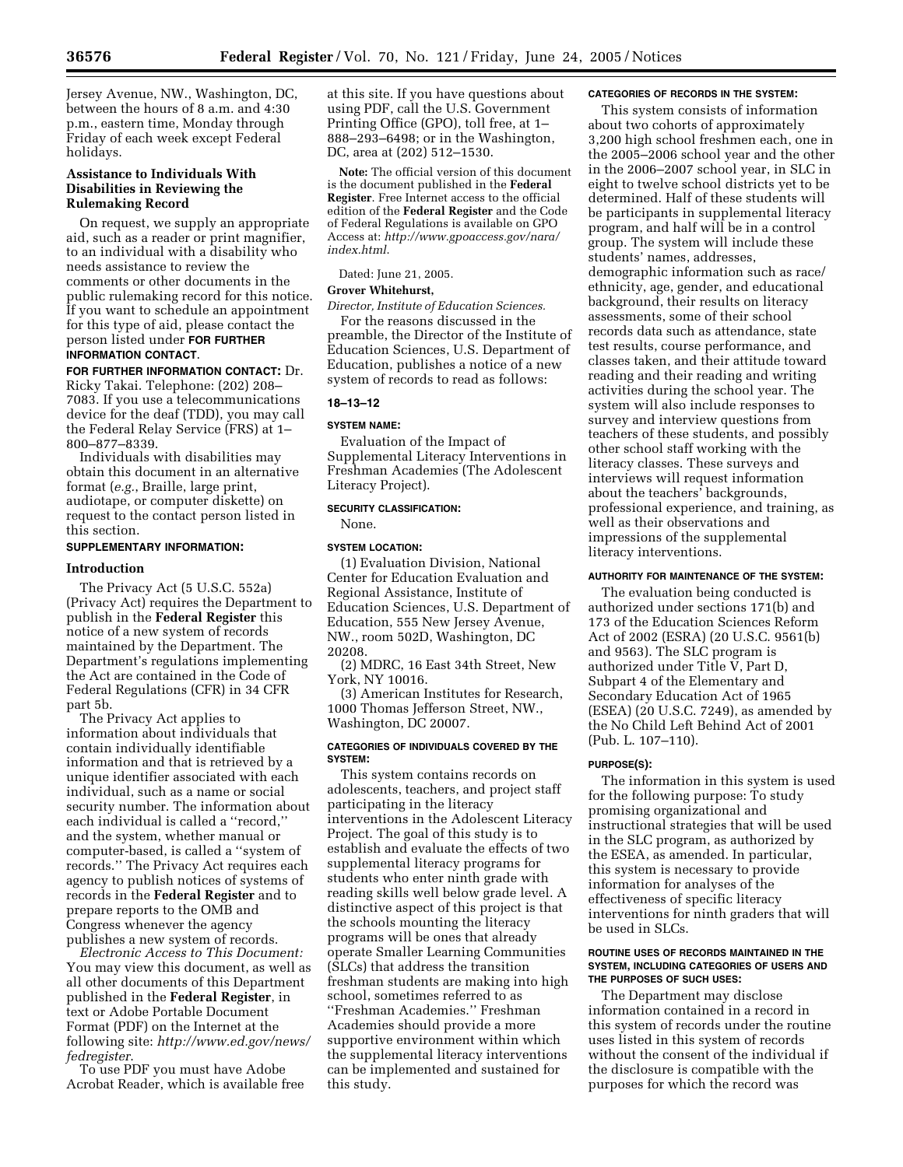Jersey Avenue, NW., Washington, DC, between the hours of 8 a.m. and 4:30 p.m., eastern time, Monday through Friday of each week except Federal holidays.

## **Assistance to Individuals With Disabilities in Reviewing the Rulemaking Record**

On request, we supply an appropriate aid, such as a reader or print magnifier, to an individual with a disability who needs assistance to review the comments or other documents in the public rulemaking record for this notice. If you want to schedule an appointment for this type of aid, please contact the person listed under **FOR FURTHER INFORMATION CONTACT**.

**FOR FURTHER INFORMATION CONTACT:** Dr. Ricky Takai. Telephone: (202) 208– 7083. If you use a telecommunications device for the deaf (TDD), you may call the Federal Relay Service (FRS) at 1– 800–877–8339.

Individuals with disabilities may obtain this document in an alternative format (*e.g.*, Braille, large print, audiotape, or computer diskette) on request to the contact person listed in this section.

## **SUPPLEMENTARY INFORMATION:**

## **Introduction**

The Privacy Act (5 U.S.C. 552a) (Privacy Act) requires the Department to publish in the **Federal Register** this notice of a new system of records maintained by the Department. The Department's regulations implementing the Act are contained in the Code of Federal Regulations (CFR) in 34 CFR part 5b.

The Privacy Act applies to information about individuals that contain individually identifiable information and that is retrieved by a unique identifier associated with each individual, such as a name or social security number. The information about each individual is called a ''record,'' and the system, whether manual or computer-based, is called a ''system of records.'' The Privacy Act requires each agency to publish notices of systems of records in the **Federal Register** and to prepare reports to the OMB and Congress whenever the agency publishes a new system of records.

*Electronic Access to This Document:*  You may view this document, as well as all other documents of this Department published in the **Federal Register**, in text or Adobe Portable Document Format (PDF) on the Internet at the following site: *http://www.ed.gov/news/ fedregister*.

To use PDF you must have Adobe Acrobat Reader, which is available free

at this site. If you have questions about using PDF, call the U.S. Government Printing Office (GPO), toll free, at 1– 888–293–6498; or in the Washington, DC, area at (202) 512–1530.

**Note:** The official version of this document is the document published in the **Federal Register**. Free Internet access to the official edition of the **Federal Register** and the Code of Federal Regulations is available on GPO Access at: *http://www.gpoaccess.gov/nara/ index.html*.

Dated: June 21, 2005.

## **Grover Whitehurst,**

*Director, Institute of Education Sciences.* 

For the reasons discussed in the preamble, the Director of the Institute of Education Sciences, U.S. Department of Education, publishes a notice of a new system of records to read as follows:

#### **18–13–12**

#### **SYSTEM NAME:**

Evaluation of the Impact of Supplemental Literacy Interventions in Freshman Academies (The Adolescent Literacy Project).

## **SECURITY CLASSIFICATION:**

None.

## **SYSTEM LOCATION:**

(1) Evaluation Division, National Center for Education Evaluation and Regional Assistance, Institute of Education Sciences, U.S. Department of Education, 555 New Jersey Avenue, NW., room 502D, Washington, DC 20208.

(2) MDRC, 16 East 34th Street, New York, NY 10016.

(3) American Institutes for Research, 1000 Thomas Jefferson Street, NW., Washington, DC 20007.

## **CATEGORIES OF INDIVIDUALS COVERED BY THE SYSTEM:**

This system contains records on adolescents, teachers, and project staff participating in the literacy interventions in the Adolescent Literacy Project. The goal of this study is to establish and evaluate the effects of two supplemental literacy programs for students who enter ninth grade with reading skills well below grade level. A distinctive aspect of this project is that the schools mounting the literacy programs will be ones that already operate Smaller Learning Communities (SLCs) that address the transition freshman students are making into high school, sometimes referred to as ''Freshman Academies.'' Freshman Academies should provide a more supportive environment within which the supplemental literacy interventions can be implemented and sustained for this study.

#### **CATEGORIES OF RECORDS IN THE SYSTEM:**

This system consists of information about two cohorts of approximately 3,200 high school freshmen each, one in the 2005–2006 school year and the other in the 2006–2007 school year, in SLC in eight to twelve school districts yet to be determined. Half of these students will be participants in supplemental literacy program, and half will be in a control group. The system will include these students' names, addresses, demographic information such as race/ ethnicity, age, gender, and educational background, their results on literacy assessments, some of their school records data such as attendance, state test results, course performance, and classes taken, and their attitude toward reading and their reading and writing activities during the school year. The system will also include responses to survey and interview questions from teachers of these students, and possibly other school staff working with the literacy classes. These surveys and interviews will request information about the teachers' backgrounds, professional experience, and training, as well as their observations and impressions of the supplemental literacy interventions.

## **AUTHORITY FOR MAINTENANCE OF THE SYSTEM:**

The evaluation being conducted is authorized under sections 171(b) and 173 of the Education Sciences Reform Act of 2002 (ESRA) (20 U.S.C. 9561(b) and 9563). The SLC program is authorized under Title V, Part D, Subpart 4 of the Elementary and Secondary Education Act of 1965 (ESEA) (20 U.S.C. 7249), as amended by the No Child Left Behind Act of 2001 (Pub. L. 107–110).

#### **PURPOSE(S):**

The information in this system is used for the following purpose: To study promising organizational and instructional strategies that will be used in the SLC program, as authorized by the ESEA, as amended. In particular, this system is necessary to provide information for analyses of the effectiveness of specific literacy interventions for ninth graders that will be used in SLCs.

#### **ROUTINE USES OF RECORDS MAINTAINED IN THE SYSTEM, INCLUDING CATEGORIES OF USERS AND THE PURPOSES OF SUCH USES:**

The Department may disclose information contained in a record in this system of records under the routine uses listed in this system of records without the consent of the individual if the disclosure is compatible with the purposes for which the record was